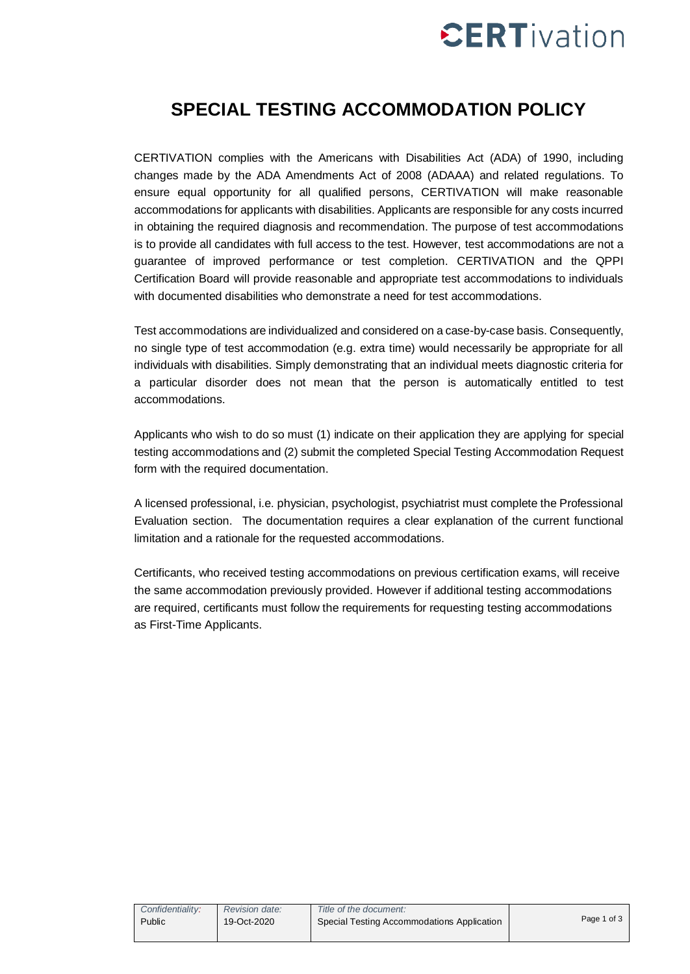# $\mathsf{c}$ ERTivation

# **SPECIAL TESTING ACCOMMODATION POLICY**

CERTIVATION complies with the Americans with Disabilities Act (ADA) of 1990, including changes made by the ADA Amendments Act of 2008 (ADAAA) and related regulations. To ensure equal opportunity for all qualified persons, CERTIVATION will make reasonable accommodations for applicants with disabilities. Applicants are responsible for any costs incurred in obtaining the required diagnosis and recommendation. The purpose of test accommodations is to provide all candidates with full access to the test. However, test accommodations are not a guarantee of improved performance or test completion. CERTIVATION and the QPPI Certification Board will provide reasonable and appropriate test accommodations to individuals with documented disabilities who demonstrate a need for test accommodations.

Test accommodations are individualized and considered on a case-by-case basis. Consequently, no single type of test accommodation (e.g. extra time) would necessarily be appropriate for all individuals with disabilities. Simply demonstrating that an individual meets diagnostic criteria for a particular disorder does not mean that the person is automatically entitled to test accommodations.

Applicants who wish to do so must (1) indicate on their application they are applying for special testing accommodations and (2) submit the completed Special Testing Accommodation Request form with the required documentation.

A licensed professional, i.e. physician, psychologist, psychiatrist must complete the Professional Evaluation section. The documentation requires a clear explanation of the current functional limitation and a rationale for the requested accommodations.

Certificants, who received testing accommodations on previous certification exams, will receive the same accommodation previously provided. However if additional testing accommodations are required, certificants must follow the requirements for requesting testing accommodations as First-Time Applicants.

| Confidentiality: | <b>Revision date:</b> | Title of the document:                     |             |
|------------------|-----------------------|--------------------------------------------|-------------|
| Public           | 19-Oct-2020           | Special Testing Accommodations Application | Page 1 of 3 |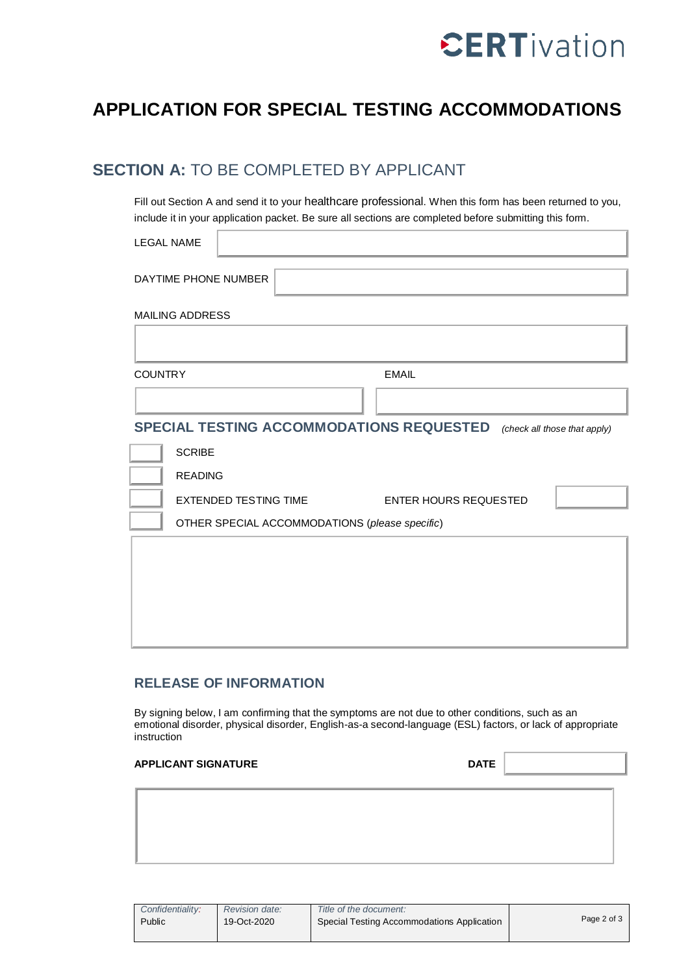

ī

# **APPLICATION FOR SPECIAL TESTING ACCOMMODATIONS**

### **SECTION A:** TO BE COMPLETED BY APPLICANT

Fill out Section A and send it to your healthcare professional. When this form has been returned to you, include it in your application packet. Be sure all sections are completed before submitting this form.

| <b>LEGAL NAME</b>                                                        |                                                       |  |  |  |
|--------------------------------------------------------------------------|-------------------------------------------------------|--|--|--|
|                                                                          | DAYTIME PHONE NUMBER                                  |  |  |  |
|                                                                          | <b>MAILING ADDRESS</b>                                |  |  |  |
|                                                                          |                                                       |  |  |  |
| <b>COUNTRY</b>                                                           | <b>EMAIL</b>                                          |  |  |  |
|                                                                          |                                                       |  |  |  |
| SPECIAL TESTING ACCOMMODATIONS REQUESTED<br>(check all those that apply) |                                                       |  |  |  |
|                                                                          | <b>SCRIBE</b>                                         |  |  |  |
|                                                                          | <b>READING</b>                                        |  |  |  |
|                                                                          | <b>EXTENDED TESTING TIME</b><br>ENTER HOURS REQUESTED |  |  |  |
| OTHER SPECIAL ACCOMMODATIONS (please specific)                           |                                                       |  |  |  |
|                                                                          |                                                       |  |  |  |
|                                                                          |                                                       |  |  |  |
|                                                                          |                                                       |  |  |  |
|                                                                          |                                                       |  |  |  |
|                                                                          |                                                       |  |  |  |

### **RELEASE OF INFORMATION**

By signing below, I am confirming that the symptoms are not due to other conditions, such as an emotional disorder, physical disorder, English-as-a second-language (ESL) factors, or lack of appropriate instruction

| APPLICANT SIGNATURE | <b>DATE</b> |  |  |
|---------------------|-------------|--|--|
|                     |             |  |  |
|                     |             |  |  |
|                     |             |  |  |
|                     |             |  |  |

| Confidentiality: | <b>Revision date:</b> | Title of the document:                     |             |  |
|------------------|-----------------------|--------------------------------------------|-------------|--|
| Public           | 19-Oct-2020           | Special Testing Accommodations Application | Page 2 of 3 |  |
|                  |                       |                                            |             |  |